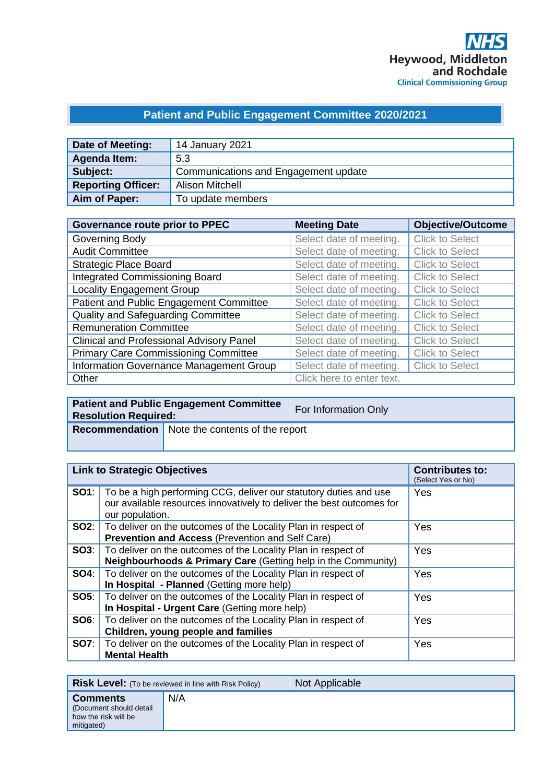## **Patient and Public Engagement Committee 2020/2021**

| Date of Meeting:          | 14 January 2021                      |
|---------------------------|--------------------------------------|
| Agenda Item:              | 5.3                                  |
| Subject:                  | Communications and Engagement update |
| <b>Reporting Officer:</b> | <b>Alison Mitchell</b>               |
| Aim of Paper:             | To update members                    |

| <b>Governance route prior to PPEC</b>           | <b>Meeting Date</b>       | <b>Objective/Outcome</b> |
|-------------------------------------------------|---------------------------|--------------------------|
| Governing Body                                  | Select date of meeting.   | <b>Click to Select</b>   |
| <b>Audit Committee</b>                          | Select date of meeting.   | <b>Click to Select</b>   |
| <b>Strategic Place Board</b>                    | Select date of meeting.   | <b>Click to Select</b>   |
| <b>Integrated Commissioning Board</b>           | Select date of meeting.   | <b>Click to Select</b>   |
| <b>Locality Engagement Group</b>                | Select date of meeting.   | <b>Click to Select</b>   |
| Patient and Public Engagement Committee         | Select date of meeting.   | <b>Click to Select</b>   |
| Quality and Safeguarding Committee              | Select date of meeting.   | <b>Click to Select</b>   |
| <b>Remuneration Committee</b>                   | Select date of meeting.   | <b>Click to Select</b>   |
| <b>Clinical and Professional Advisory Panel</b> | Select date of meeting.   | <b>Click to Select</b>   |
| <b>Primary Care Commissioning Committee</b>     | Select date of meeting.   | <b>Click to Select</b>   |
| Information Governance Management Group         | Select date of meeting.   | <b>Click to Select</b>   |
| Other                                           | Click here to enter text. |                          |

| <b>Resolution Required:</b> | <b>Patient and Public Engagement Committee</b>        | For Information Only |
|-----------------------------|-------------------------------------------------------|----------------------|
|                             | <b>Recommendation</b> Note the contents of the report |                      |

| <b>Link to Strategic Objectives</b> |                                                                                                                                                                            | <b>Contributes to:</b><br>(Select Yes or No) |
|-------------------------------------|----------------------------------------------------------------------------------------------------------------------------------------------------------------------------|----------------------------------------------|
|                                     | <b>SO1</b> : To be a high performing CCG, deliver our statutory duties and use<br>our available resources innovatively to deliver the best outcomes for<br>our population. | Yes                                          |
|                                     | <b>SO2:</b>   To deliver on the outcomes of the Locality Plan in respect of<br>Prevention and Access (Prevention and Self Care)                                            | Yes                                          |
|                                     | <b>SO3:</b>   To deliver on the outcomes of the Locality Plan in respect of<br><b>Neighbourhoods &amp; Primary Care (Getting help in the Community)</b>                    | Yes                                          |
|                                     | <b>SO4:</b> To deliver on the outcomes of the Locality Plan in respect of<br>In Hospital - Planned (Getting more help)                                                     | Yes                                          |
| SOS:                                | To deliver on the outcomes of the Locality Plan in respect of<br>In Hospital - Urgent Care (Getting more help)                                                             | Yes                                          |
| SOS:                                | To deliver on the outcomes of the Locality Plan in respect of<br>Children, young people and families                                                                       | Yes                                          |
|                                     | <b>SO7:</b> To deliver on the outcomes of the Locality Plan in respect of<br><b>Mental Health</b>                                                                          | Yes                                          |

|                                                                                   | <b>Risk Level:</b> (To be reviewed in line with Risk Policy) | Not Applicable |
|-----------------------------------------------------------------------------------|--------------------------------------------------------------|----------------|
| <b>Comments</b><br>(Document should detail)<br>how the risk will be<br>mitigated) | N/A                                                          |                |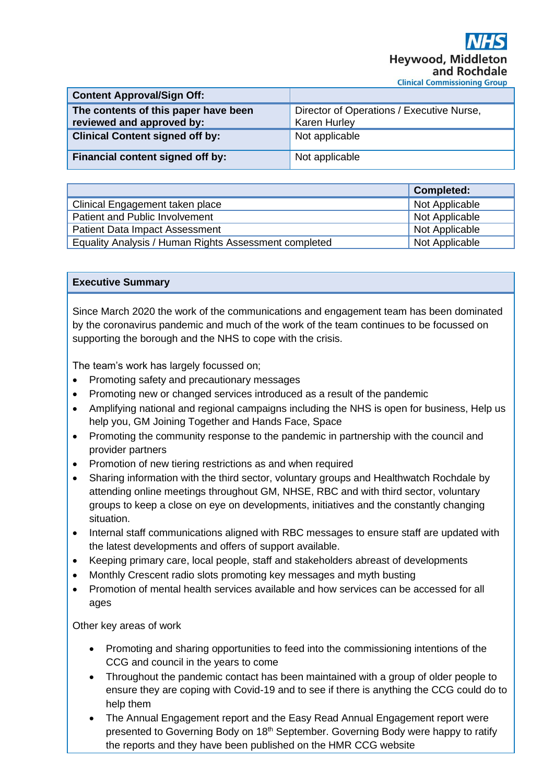| <b>Content Approval/Sign Off:</b>                                 |                                                                  |
|-------------------------------------------------------------------|------------------------------------------------------------------|
| The contents of this paper have been<br>reviewed and approved by: | Director of Operations / Executive Nurse,<br><b>Karen Hurley</b> |
| <b>Clinical Content signed off by:</b>                            | Not applicable                                                   |
| Financial content signed off by:                                  | Not applicable                                                   |

|                                                       | <b>Completed:</b> |
|-------------------------------------------------------|-------------------|
| Clinical Engagement taken place                       | Not Applicable    |
| Patient and Public Involvement                        | Not Applicable    |
| <b>Patient Data Impact Assessment</b>                 | Not Applicable    |
| Equality Analysis / Human Rights Assessment completed | Not Applicable    |

## **Executive Summary**

Since March 2020 the work of the communications and engagement team has been dominated by the coronavirus pandemic and much of the work of the team continues to be focussed on supporting the borough and the NHS to cope with the crisis.

The team's work has largely focussed on;

- Promoting safety and precautionary messages
- Promoting new or changed services introduced as a result of the pandemic
- Amplifying national and regional campaigns including the NHS is open for business, Help us help you, GM Joining Together and Hands Face, Space
- Promoting the community response to the pandemic in partnership with the council and provider partners
- Promotion of new tiering restrictions as and when required
- Sharing information with the third sector, voluntary groups and Healthwatch Rochdale by attending online meetings throughout GM, NHSE, RBC and with third sector, voluntary groups to keep a close on eye on developments, initiatives and the constantly changing situation.
- Internal staff communications aligned with RBC messages to ensure staff are updated with the latest developments and offers of support available.
- Keeping primary care, local people, staff and stakeholders abreast of developments
- Monthly Crescent radio slots promoting key messages and myth busting
- Promotion of mental health services available and how services can be accessed for all ages

Other key areas of work

- Promoting and sharing opportunities to feed into the commissioning intentions of the CCG and council in the years to come
- Throughout the pandemic contact has been maintained with a group of older people to ensure they are coping with Covid-19 and to see if there is anything the CCG could do to help them
- The Annual Engagement report and the Easy Read Annual Engagement report were presented to Governing Body on 18<sup>th</sup> September. Governing Body were happy to ratify the reports and they have been published on the HMR CCG website